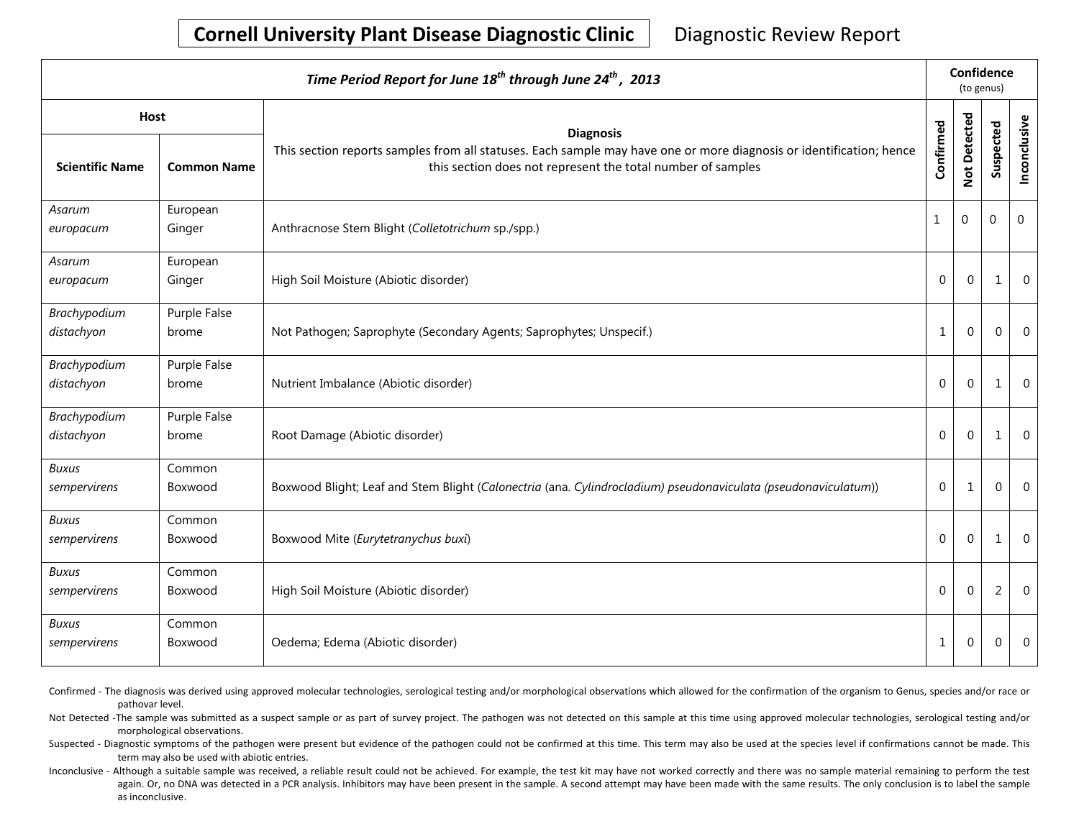| Time Period Report for June 18 <sup>th</sup> through June 24 <sup>th</sup> , 2013 |                       |                                                                                                                                                                                    |              |                | Confidence<br>(to genus) |                |  |  |
|-----------------------------------------------------------------------------------|-----------------------|------------------------------------------------------------------------------------------------------------------------------------------------------------------------------------|--------------|----------------|--------------------------|----------------|--|--|
| <b>Host</b>                                                                       |                       | <b>Diagnosis</b>                                                                                                                                                                   |              |                |                          |                |  |  |
| <b>Scientific Name</b>                                                            | <b>Common Name</b>    | This section reports samples from all statuses. Each sample may have one or more diagnosis or identification; hence<br>this section does not represent the total number of samples | Confirmed    | Not Detected   | Suspected                | Inconclusive   |  |  |
| Asarum<br>europacum                                                               | European<br>Ginger    | Anthracnose Stem Blight (Colletotrichum sp./spp.)                                                                                                                                  | 1            | $\overline{0}$ | $\mathbf 0$              | $\mathbf 0$    |  |  |
| Asarum<br>europacum                                                               | European<br>Ginger    | High Soil Moisture (Abiotic disorder)                                                                                                                                              | $\Omega$     | $\mathbf 0$    | $\mathbf{1}$             | $\overline{0}$ |  |  |
| Brachypodium<br>distachyon                                                        | Purple False<br>brome | Not Pathogen; Saprophyte (Secondary Agents; Saprophytes; Unspecif.)                                                                                                                | $\mathbf{1}$ | $\mathbf 0$    | $\Omega$                 | $\overline{0}$ |  |  |
| Brachypodium<br>distachyon                                                        | Purple False<br>brome | Nutrient Imbalance (Abiotic disorder)                                                                                                                                              | $\mathbf 0$  | $\mathbf{0}$   | 1                        | $\overline{0}$ |  |  |
| Brachypodium<br>distachyon                                                        | Purple False<br>brome | Root Damage (Abiotic disorder)                                                                                                                                                     | $\Omega$     | $\mathbf 0$    | 1                        | $\overline{0}$ |  |  |
| Buxus<br>sempervirens                                                             | Common<br>Boxwood     | Boxwood Blight; Leaf and Stem Blight (Calonectria (ana. Cylindrocladium) pseudonaviculata (pseudonaviculatum))                                                                     | $\mathbf 0$  | $\mathbf 1$    | $\Omega$                 | $\mathbf 0$    |  |  |
| <b>Buxus</b><br>sempervirens                                                      | Common<br>Boxwood     | Boxwood Mite (Eurytetranychus buxi)                                                                                                                                                | $\Omega$     | $\mathbf 0$    | 1                        | $\overline{0}$ |  |  |
| <b>Buxus</b><br>sempervirens                                                      | Common<br>Boxwood     | High Soil Moisture (Abiotic disorder)                                                                                                                                              | $\Omega$     | $\mathbf 0$    | $\overline{2}$           | $\overline{0}$ |  |  |
| <b>Buxus</b><br>sempervirens                                                      | Common<br>Boxwood     | Oedema; Edema (Abiotic disorder)                                                                                                                                                   | 1            | 0              | $\Omega$                 | $\overline{0}$ |  |  |

Confirmed - The diagnosis was derived using approved molecular technologies, serological testing and/or morphological observations which allowed for the confirmation of the organism to Genus, species and/or race or pathovar level.

Not Detected -The sample was submitted as a suspect sample or as part of survey project. The pathogen was not detected on this sample at this time using approved molecular technologies, serological testing and/or morphological observations.

Suspected - Diagnostic symptoms of the pathogen were present but evidence of the pathogen could not be confirmed at this time. This term may also be used at the species level if confirmations cannot be made. This term may also be used with abiotic entries.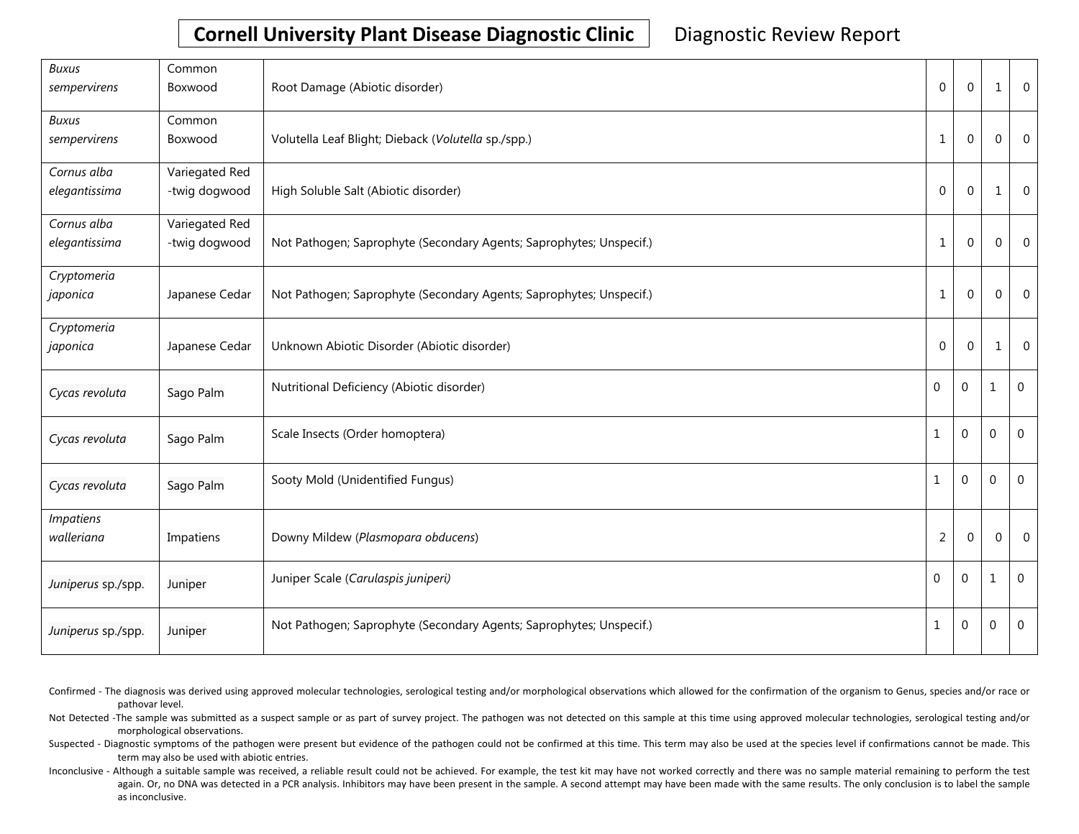| <b>Buxus</b><br>sempervirens   | Common<br>Boxwood               | Root Damage (Abiotic disorder)                                      | $\Omega$       | $\mathbf 0$      | 1              | $\overline{0}$ |
|--------------------------------|---------------------------------|---------------------------------------------------------------------|----------------|------------------|----------------|----------------|
| <b>Buxus</b><br>sempervirens   | Common<br>Boxwood               | Volutella Leaf Blight; Dieback (Volutella sp./spp.)                 | $\mathbf{1}$   | $\mathbf 0$      | $\Omega$       | $\overline{0}$ |
| Cornus alba<br>elegantissima   | Variegated Red<br>-twig dogwood | High Soluble Salt (Abiotic disorder)                                | $\mathbf 0$    | $\mathbf 0$      | 1              | $\overline{0}$ |
| Cornus alba<br>elegantissima   | Variegated Red<br>-twig dogwood | Not Pathogen; Saprophyte (Secondary Agents; Saprophytes; Unspecif.) | $\mathbf{1}$   | $\mathbf 0$      | $\Omega$       | $\overline{0}$ |
| Cryptomeria<br>japonica        | Japanese Cedar                  | Not Pathogen; Saprophyte (Secondary Agents; Saprophytes; Unspecif.) | $\mathbf{1}$   | $\mathbf 0$      | $\Omega$       | $\overline{0}$ |
| Cryptomeria<br>japonica        | Japanese Cedar                  | Unknown Abiotic Disorder (Abiotic disorder)                         | $\overline{0}$ | 0                | 1              | $\overline{0}$ |
| Cycas revoluta                 | Sago Palm                       | Nutritional Deficiency (Abiotic disorder)                           | 0              | $\boldsymbol{0}$ | $\mathbf{1}$   | $\mathbf 0$    |
| Cycas revoluta                 | Sago Palm                       | Scale Insects (Order homoptera)                                     | 1              | 0                | $\overline{0}$ | $\overline{0}$ |
| Cycas revoluta                 | Sago Palm                       | Sooty Mold (Unidentified Fungus)                                    | 1              | 0                | $\mathbf 0$    | $\mathbf{0}$   |
| <b>Impatiens</b><br>walleriana | Impatiens                       | Downy Mildew (Plasmopara obducens)                                  | $\overline{c}$ | $\mathbf 0$      | $\Omega$       | $\overline{0}$ |
| Juniperus sp./spp.             | Juniper                         | Juniper Scale (Carulaspis juniperi)                                 | 0              | 0                | $\mathbf{1}$   | $\mathbf 0$    |
| Juniperus sp./spp.             | Juniper                         | Not Pathogen; Saprophyte (Secondary Agents; Saprophytes; Unspecif.) | $\mathbf{1}$   | 0                | $\overline{0}$ | $\overline{0}$ |

Confirmed - The diagnosis was derived using approved molecular technologies, serological testing and/or morphological observations which allowed for the confirmation of the organism to Genus, species and/or race or pathovar level.

Not Detected -The sample was submitted as a suspect sample or as part of survey project. The pathogen was not detected on this sample at this time using approved molecular technologies, serological testing and/or morphological observations.

Suspected - Diagnostic symptoms of the pathogen were present but evidence of the pathogen could not be confirmed at this time. This term may also be used at the species level if confirmations cannot be made. This term may also be used with abiotic entries.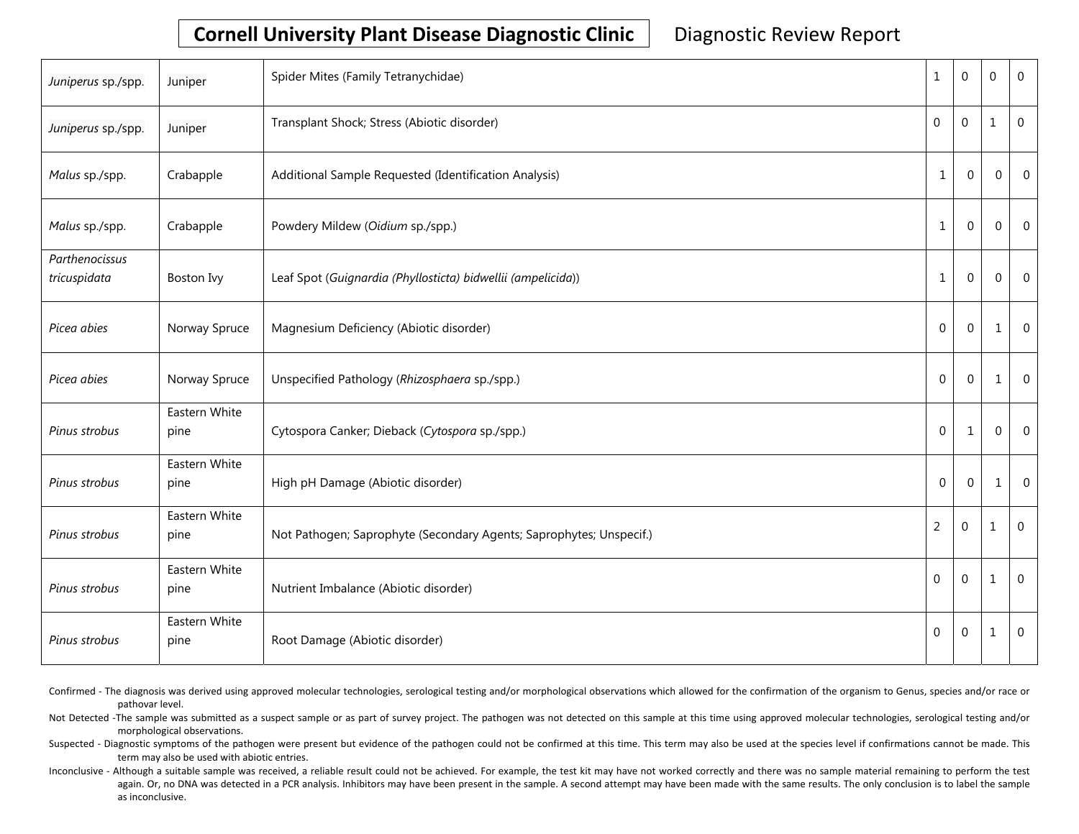| Juniperus sp./spp.             | Juniper               | Spider Mites (Family Tetranychidae)                                 | 1              | $\boldsymbol{0}$ | $\overline{0}$ | $\mathbf 0$    |
|--------------------------------|-----------------------|---------------------------------------------------------------------|----------------|------------------|----------------|----------------|
| Juniperus sp./spp.             | Juniper               | Transplant Shock; Stress (Abiotic disorder)                         | $\mathbf 0$    | $\pmb{0}$        | $\mathbf{1}$   | $\mathbf 0$    |
| Malus sp./spp.                 | Crabapple             | Additional Sample Requested (Identification Analysis)               | $\mathbf{1}$   | $\Omega$         | $\mathbf{0}$   | $\mathbf 0$    |
| Malus sp./spp.                 | Crabapple             | Powdery Mildew (Oidium sp./spp.)                                    | 1              | $\mathbf{0}$     | $\mathbf 0$    | $\overline{0}$ |
| Parthenocissus<br>tricuspidata | Boston Ivy            | Leaf Spot (Guignardia (Phyllosticta) bidwellii (ampelicida))        | $\mathbf{1}$   | $\Omega$         | $\mathbf 0$    | $\Omega$       |
| Picea abies                    | Norway Spruce         | Magnesium Deficiency (Abiotic disorder)                             | $\mathbf{0}$   | $\mathbf{0}$     | 1              | $\overline{0}$ |
| Picea abies                    | Norway Spruce         | Unspecified Pathology (Rhizosphaera sp./spp.)                       | $\mathbf{0}$   | $\Omega$         | 1              | $\overline{0}$ |
| Pinus strobus                  | Eastern White<br>pine | Cytospora Canker; Dieback (Cytospora sp./spp.)                      | $\mathbf{0}$   | 1                | $\overline{0}$ | $\overline{0}$ |
| Pinus strobus                  | Eastern White<br>pine | High pH Damage (Abiotic disorder)                                   | $\mathbf{0}$   | $\Omega$         | 1              | $\overline{0}$ |
| Pinus strobus                  | Eastern White<br>pine | Not Pathogen; Saprophyte (Secondary Agents; Saprophytes; Unspecif.) | $\overline{2}$ | $\mathbf 0$      | $\mathbf 1$    | $\mathbf 0$    |
| Pinus strobus                  | Eastern White<br>pine | Nutrient Imbalance (Abiotic disorder)                               | $\mathbf 0$    | $\boldsymbol{0}$ | $\mathbf{1}$   | $\Omega$       |
| Pinus strobus                  | Eastern White<br>pine | Root Damage (Abiotic disorder)                                      | 0              | $\boldsymbol{0}$ | $\mathbf{1}$   | 0              |

Confirmed - The diagnosis was derived using approved molecular technologies, serological testing and/or morphological observations which allowed for the confirmation of the organism to Genus, species and/or race or pathovar level.

Not Detected -The sample was submitted as a suspect sample or as part of survey project. The pathogen was not detected on this sample at this time using approved molecular technologies, serological testing and/or morphological observations.

Suspected - Diagnostic symptoms of the pathogen were present but evidence of the pathogen could not be confirmed at this time. This term may also be used at the species level if confirmations cannot be made. This term may also be used with abiotic entries.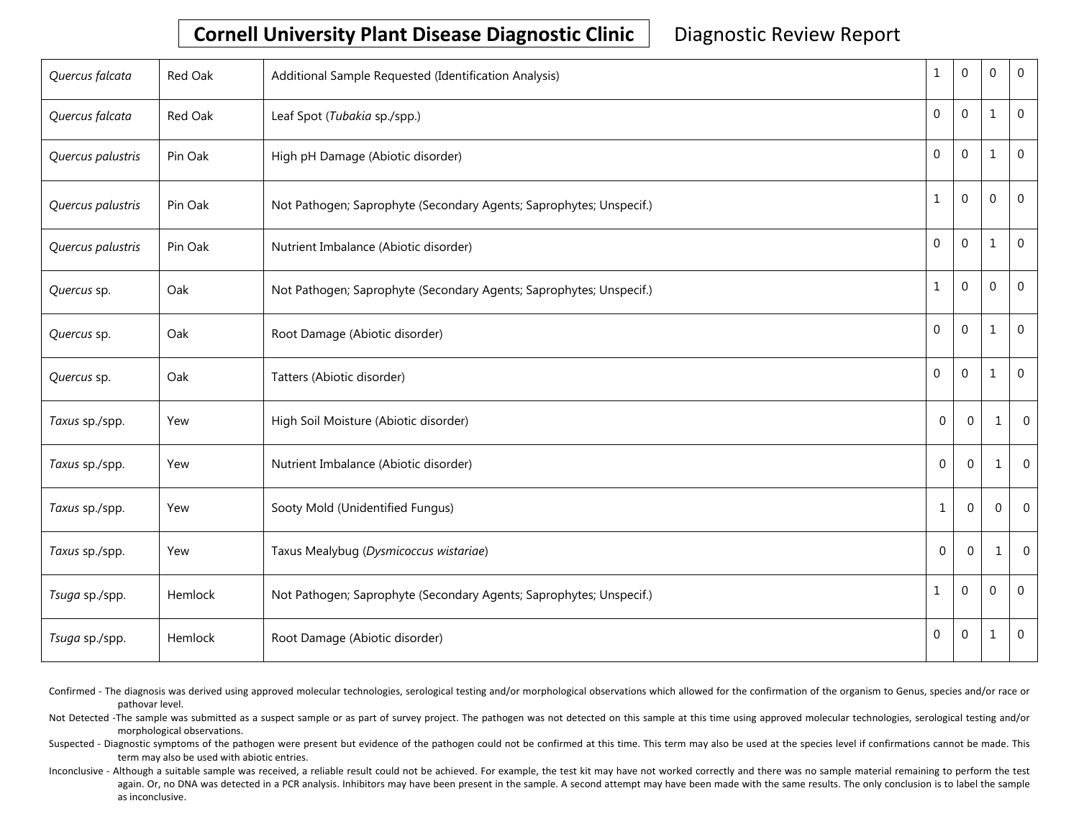| Quercus falcata   | Red Oak | Additional Sample Requested (Identification Analysis)               | $\mathbf{1}$     | $\mathbf 0$    | 0              | $\mathbf 0$    |
|-------------------|---------|---------------------------------------------------------------------|------------------|----------------|----------------|----------------|
| Quercus falcata   | Red Oak | Leaf Spot (Tubakia sp./spp.)                                        | $\mathbf 0$      | $\mathbf 0$    | $\mathbf{1}$   | $\mathbf 0$    |
| Quercus palustris | Pin Oak | High pH Damage (Abiotic disorder)                                   | $\boldsymbol{0}$ | $\mathbf{0}$   | 1              | $\overline{0}$ |
| Quercus palustris | Pin Oak | Not Pathogen; Saprophyte (Secondary Agents; Saprophytes; Unspecif.) | $\mathbf{1}$     | $\mathbf{0}$   | $\Omega$       | $\overline{0}$ |
| Quercus palustris | Pin Oak | Nutrient Imbalance (Abiotic disorder)                               | 0                | $\mathbf{0}$   | 1              | $\overline{0}$ |
| Quercus sp.       | Oak     | Not Pathogen; Saprophyte (Secondary Agents; Saprophytes; Unspecif.) | $\mathbf 1$      | $\mathbf{0}$   | $\mathbf{0}$   | $\overline{0}$ |
| Quercus sp.       | Oak     | Root Damage (Abiotic disorder)                                      | $\boldsymbol{0}$ | $\mathbf 0$    | 1              | $\mathbf 0$    |
| Quercus sp.       | Oak     | Tatters (Abiotic disorder)                                          | 0                | $\mathbf{0}$   | 1              | $\overline{0}$ |
| Taxus sp./spp.    | Yew     | High Soil Moisture (Abiotic disorder)                               | $\Omega$         | $\mathbf{0}$   | 1              | $\Omega$       |
| Taxus sp./spp.    | Yew     | Nutrient Imbalance (Abiotic disorder)                               | $\mathbf{0}$     | $\mathbf{0}$   | 1              | $\overline{0}$ |
| Taxus sp./spp.    | Yew     | Sooty Mold (Unidentified Fungus)                                    | 1                | $\mathbf 0$    | $\overline{0}$ | $\overline{0}$ |
| Taxus sp./spp.    | Yew     | Taxus Mealybug (Dysmicoccus wistariae)                              | $\Omega$         | $\Omega$       | 1              | $\Omega$       |
| Tsuga sp./spp.    | Hemlock | Not Pathogen; Saprophyte (Secondary Agents; Saprophytes; Unspecif.) | $\mathbf 1$      | $\overline{0}$ | 0              | $\overline{0}$ |
| Tsuga sp./spp.    | Hemlock | Root Damage (Abiotic disorder)                                      | 0                | $\pmb{0}$      | 1              | $\overline{0}$ |

Confirmed - The diagnosis was derived using approved molecular technologies, serological testing and/or morphological observations which allowed for the confirmation of the organism to Genus, species and/or race or pathovar level.

Not Detected -The sample was submitted as a suspect sample or as part of survey project. The pathogen was not detected on this sample at this time using approved molecular technologies, serological testing and/or morphological observations.

Suspected - Diagnostic symptoms of the pathogen were present but evidence of the pathogen could not be confirmed at this time. This term may also be used at the species level if confirmations cannot be made. This term may also be used with abiotic entries.